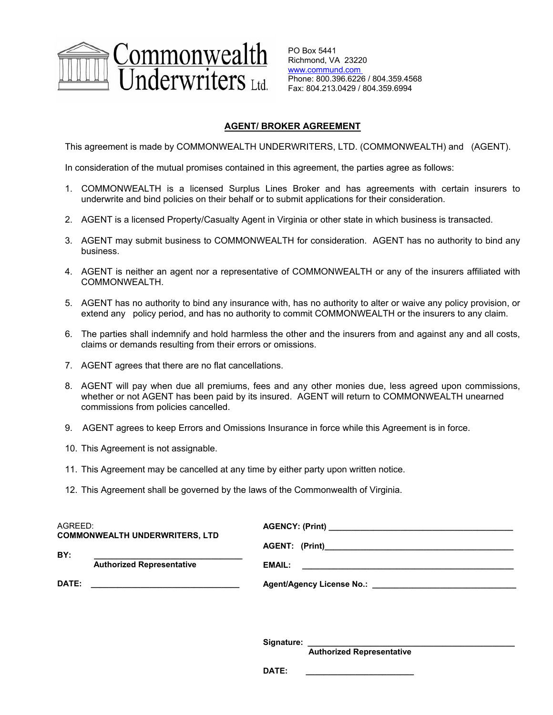

PO Box 5441 Richmond, VA 23220 www.commund.com Phone: 800.396.6226 / 804.359.4568 Fax: 804.213.0429 / 804.359.6994

## **AGENT/ BROKER AGREEMENT**

This agreement is made by COMMONWEALTH UNDERWRITERS, LTD. (COMMONWEALTH) and (AGENT).

In consideration of the mutual promises contained in this agreement, the parties agree as follows:

- 1. COMMONWEALTH is a licensed Surplus Lines Broker and has agreements with certain insurers to underwrite and bind policies on their behalf or to submit applications for their consideration.
- 2. AGENT is a licensed Property/Casualty Agent in Virginia or other state in which business is transacted.
- 3. AGENT may submit business to COMMONWEALTH for consideration. AGENT has no authority to bind any business.
- 4. AGENT is neither an agent nor a representative of COMMONWEALTH or any of the insurers affiliated with COMMONWEALTH.
- 5. AGENT has no authority to bind any insurance with, has no authority to alter or waive any policy provision, or extend any policy period, and has no authority to commit COMMONWEALTH or the insurers to any claim.
- 6. The parties shall indemnify and hold harmless the other and the insurers from and against any and all costs, claims or demands resulting from their errors or omissions.
- 7. AGENT agrees that there are no flat cancellations.
- 8. AGENT will pay when due all premiums, fees and any other monies due, less agreed upon commissions, whether or not AGENT has been paid by its insured. AGENT will return to COMMONWEALTH unearned commissions from policies cancelled.
- 9. AGENT agrees to keep Errors and Omissions Insurance in force while this Agreement is in force.
- 10. This Agreement is not assignable.
- 11. This Agreement may be cancelled at any time by either party upon written notice.
- 12. This Agreement shall be governed by the laws of the Commonwealth of Virginia.

| AGREED:                               |                                  |        |
|---------------------------------------|----------------------------------|--------|
| <b>COMMONWEALTH UNDERWRITERS, LTD</b> |                                  |        |
| BY:                                   |                                  |        |
|                                       | <b>Authorized Representative</b> | EMAIL: |
| DATE:                                 |                                  |        |

Signature:

 **Authorized Representative** 

DATE: